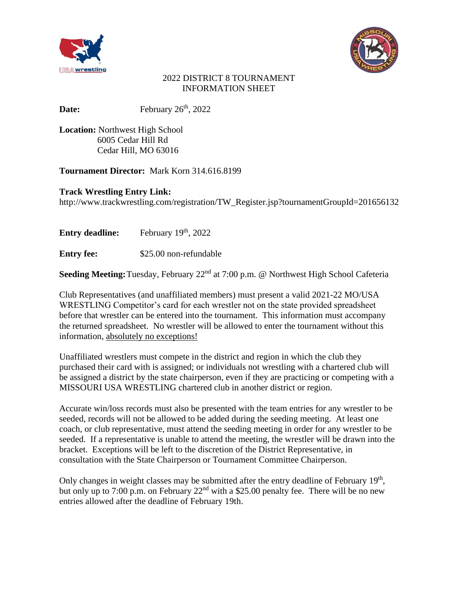



### 2022 DISTRICT 8 TOURNAMENT INFORMATION SHEET

Date: February 26<sup>th</sup>, 2022

**Location:** Northwest High School 6005 Cedar Hill Rd Cedar Hill, MO 63016

**Tournament Director:** Mark Korn 314.616.8199

**Track Wrestling Entry Link:**

http://www.trackwrestling.com/registration/TW\_Register.jsp?tournamentGroupId=201656132

**Entry deadline:** February 19<sup>th</sup>, 2022

**Entry fee:**  $$25.00$  non-refundable

Seeding Meeting: Tuesday, February 22<sup>nd</sup> at 7:00 p.m. @ Northwest High School Cafeteria

Club Representatives (and unaffiliated members) must present a valid 2021-22 MO/USA WRESTLING Competitor's card for each wrestler not on the state provided spreadsheet before that wrestler can be entered into the tournament. This information must accompany the returned spreadsheet. No wrestler will be allowed to enter the tournament without this information, absolutely no exceptions!

Unaffiliated wrestlers must compete in the district and region in which the club they purchased their card with is assigned; or individuals not wrestling with a chartered club will be assigned a district by the state chairperson, even if they are practicing or competing with a MISSOURI USA WRESTLING chartered club in another district or region.

Accurate win/loss records must also be presented with the team entries for any wrestler to be seeded, records will not be allowed to be added during the seeding meeting. At least one coach, or club representative, must attend the seeding meeting in order for any wrestler to be seeded. If a representative is unable to attend the meeting, the wrestler will be drawn into the bracket. Exceptions will be left to the discretion of the District Representative, in consultation with the State Chairperson or Tournament Committee Chairperson.

Only changes in weight classes may be submitted after the entry deadline of February 19<sup>th</sup>, but only up to 7:00 p.m. on February  $22<sup>nd</sup>$  with a \$25.00 penalty fee. There will be no new entries allowed after the deadline of February 19th.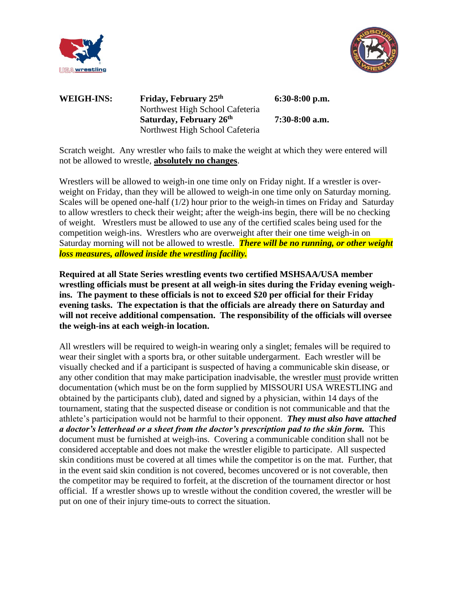



## **WEIGH-INS: Friday, February 25 th** Northwest High School Cafeteria **Saturday, February 26 th** Northwest High School Cafeteria

 **6:30-8:00 p.m.**

 **7:30-8:00 a.m.**

Scratch weight. Any wrestler who fails to make the weight at which they were entered will not be allowed to wrestle, **absolutely no changes**.

Wrestlers will be allowed to weigh-in one time only on Friday night. If a wrestler is overweight on Friday, than they will be allowed to weigh-in one time only on Saturday morning. Scales will be opened one-half (1/2) hour prior to the weigh-in times on Friday and Saturday to allow wrestlers to check their weight; after the weigh-ins begin, there will be no checking of weight. Wrestlers must be allowed to use any of the certified scales being used for the competition weigh-ins. Wrestlers who are overweight after their one time weigh-in on Saturday morning will not be allowed to wrestle. *There will be no running, or other weight loss measures, allowed inside the wrestling facility.*

**Required at all State Series wrestling events two certified MSHSAA/USA member wrestling officials must be present at all weigh-in sites during the Friday evening weighins. The payment to these officials is not to exceed \$20 per official for their Friday evening tasks. The expectation is that the officials are already there on Saturday and will not receive additional compensation. The responsibility of the officials will oversee the weigh-ins at each weigh-in location.** 

All wrestlers will be required to weigh-in wearing only a singlet; females will be required to wear their singlet with a sports bra, or other suitable undergarment. Each wrestler will be visually checked and if a participant is suspected of having a communicable skin disease, or any other condition that may make participation inadvisable, the wrestler must provide written documentation (which must be on the form supplied by MISSOURI USA WRESTLING and obtained by the participants club), dated and signed by a physician, within 14 days of the tournament, stating that the suspected disease or condition is not communicable and that the athlete's participation would not be harmful to their opponent. *They must also have attached a doctor's letterhead or a sheet from the doctor's prescription pad to the skin form.* This document must be furnished at weigh-ins. Covering a communicable condition shall not be considered acceptable and does not make the wrestler eligible to participate. All suspected skin conditions must be covered at all times while the competitor is on the mat. Further, that in the event said skin condition is not covered, becomes uncovered or is not coverable, then the competitor may be required to forfeit, at the discretion of the tournament director or host official. If a wrestler shows up to wrestle without the condition covered, the wrestler will be put on one of their injury time-outs to correct the situation.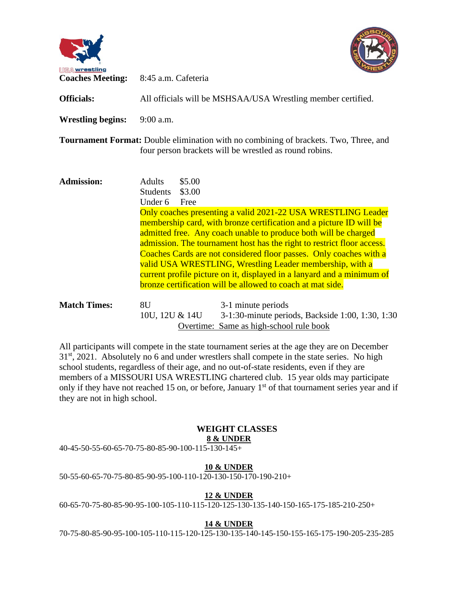



| <b>Officials:</b>        | All officials will be MSHSAA/USA Wrestling member certified.            |                                                                                                                                                                                                                                                                                                                                                                                                                                                                                                                                                            |
|--------------------------|-------------------------------------------------------------------------|------------------------------------------------------------------------------------------------------------------------------------------------------------------------------------------------------------------------------------------------------------------------------------------------------------------------------------------------------------------------------------------------------------------------------------------------------------------------------------------------------------------------------------------------------------|
| <b>Wrestling begins:</b> | $9:00$ a.m.                                                             |                                                                                                                                                                                                                                                                                                                                                                                                                                                                                                                                                            |
|                          |                                                                         | Tournament Format: Double elimination with no combining of brackets. Two, Three, and<br>four person brackets will be wrestled as round robins.                                                                                                                                                                                                                                                                                                                                                                                                             |
| <b>Admission:</b>        | \$5.00<br><b>Adults</b><br>\$3.00<br><b>Students</b><br>Under 6<br>Free | Only coaches presenting a valid 2021-22 USA WRESTLING Leader<br>membership card, with bronze certification and a picture ID will be<br>admitted free. Any coach unable to produce both will be charged<br>admission. The tournament host has the right to restrict floor access.<br>Coaches Cards are not considered floor passes. Only coaches with a<br>valid USA WRESTLING, Wrestling Leader membership, with a<br>current profile picture on it, displayed in a lanyard and a minimum of<br>bronze certification will be allowed to coach at mat side. |
| <b>Match Times:</b>      | 8U<br>10U, 12U & 14U                                                    | 3-1 minute periods<br>3-1:30-minute periods, Backside 1:00, 1:30, 1:30<br>Overtime: Same as high-school rule book                                                                                                                                                                                                                                                                                                                                                                                                                                          |

All participants will compete in the state tournament series at the age they are on December 31<sup>st</sup>, 2021. Absolutely no 6 and under wrestlers shall compete in the state series. No high school students, regardless of their age, and no out-of-state residents, even if they are members of a MISSOURI USA WRESTLING chartered club. 15 year olds may participate only if they have not reached 15 on, or before, January  $1<sup>st</sup>$  of that tournament series year and if they are not in high school.

#### **WEIGHT CLASSES 8 & UNDER**

40-45-50-55-60-65-70-75-80-85-90-100-115-130-145+

### **10 & UNDER**

50-55-60-65-70-75-80-85-90-95-100-110-120-130-150-170-190-210+

### **12 & UNDER**

60-65-70-75-80-85-90-95-100-105-110-115-120-125-130-135-140-150-165-175-185-210-250+

### **14 & UNDER**

70-75-80-85-90-95-100-105-110-115-120-125-130-135-140-145-150-155-165-175-190-205-235-285